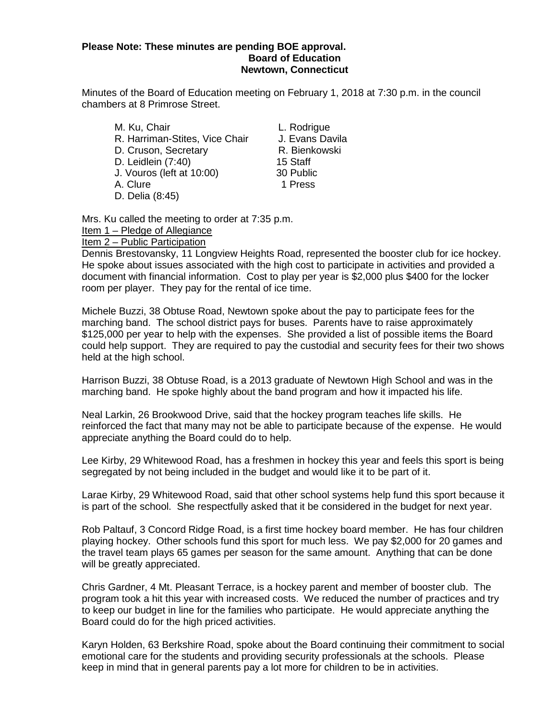### **Please Note: These minutes are pending BOE approval. Board of Education Newtown, Connecticut**

Minutes of the Board of Education meeting on February 1, 2018 at 7:30 p.m. in the council chambers at 8 Primrose Street.

M. Ku, Chair **M. Ku, Chair**<br>R. Harriman-Stites. Vice Chair All Evans Davila R. Harriman-Stites, Vice Chair J. Evans Davila<br>D. Cruson. Secretary **B. R. Bienkowski** D. Cruson, Secretary **R. Bienkowski**n, Secretary R. Bienkowskin, R. Bienkowskin, R. Bienkowskin, R. Bienkowskin<br>D. Leidlein (7:40) D. Leidlein  $(7:40)$ J. Vouros (left at 10:00) 30 Public A. Clure D. Delia (8:45)

Mrs. Ku called the meeting to order at 7:35 p.m.

Item 1 – Pledge of Allegiance

Item 2 – Public Participation

Dennis Brestovansky, 11 Longview Heights Road, represented the booster club for ice hockey. He spoke about issues associated with the high cost to participate in activities and provided a document with financial information. Cost to play per year is \$2,000 plus \$400 for the locker room per player. They pay for the rental of ice time.

Michele Buzzi, 38 Obtuse Road, Newtown spoke about the pay to participate fees for the marching band. The school district pays for buses. Parents have to raise approximately \$125,000 per year to help with the expenses. She provided a list of possible items the Board could help support. They are required to pay the custodial and security fees for their two shows held at the high school.

Harrison Buzzi, 38 Obtuse Road, is a 2013 graduate of Newtown High School and was in the marching band. He spoke highly about the band program and how it impacted his life.

Neal Larkin, 26 Brookwood Drive, said that the hockey program teaches life skills. He reinforced the fact that many may not be able to participate because of the expense. He would appreciate anything the Board could do to help.

Lee Kirby, 29 Whitewood Road, has a freshmen in hockey this year and feels this sport is being segregated by not being included in the budget and would like it to be part of it.

Larae Kirby, 29 Whitewood Road, said that other school systems help fund this sport because it is part of the school. She respectfully asked that it be considered in the budget for next year.

Rob Paltauf, 3 Concord Ridge Road, is a first time hockey board member. He has four children playing hockey. Other schools fund this sport for much less. We pay \$2,000 for 20 games and the travel team plays 65 games per season for the same amount. Anything that can be done will be greatly appreciated.

Chris Gardner, 4 Mt. Pleasant Terrace, is a hockey parent and member of booster club. The program took a hit this year with increased costs. We reduced the number of practices and try to keep our budget in line for the families who participate. He would appreciate anything the Board could do for the high priced activities.

Karyn Holden, 63 Berkshire Road, spoke about the Board continuing their commitment to social emotional care for the students and providing security professionals at the schools. Please keep in mind that in general parents pay a lot more for children to be in activities.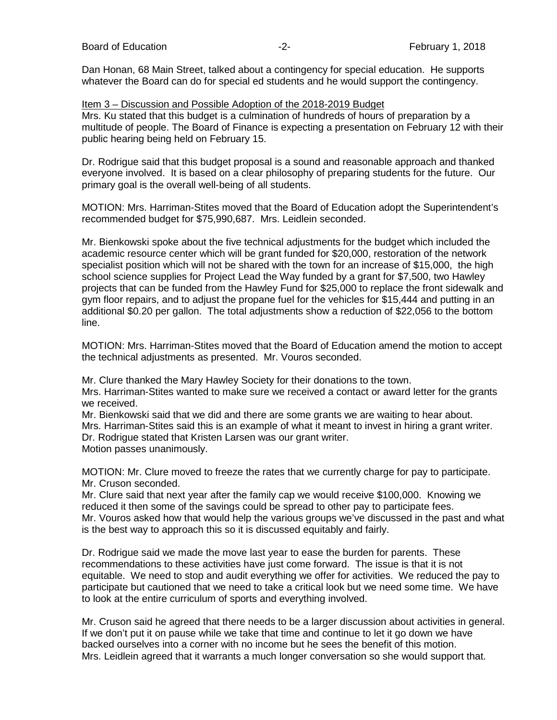Dan Honan, 68 Main Street, talked about a contingency for special education. He supports whatever the Board can do for special ed students and he would support the contingency.

### Item 3 – Discussion and Possible Adoption of the 2018-2019 Budget

Mrs. Ku stated that this budget is a culmination of hundreds of hours of preparation by a multitude of people. The Board of Finance is expecting a presentation on February 12 with their public hearing being held on February 15.

Dr. Rodrigue said that this budget proposal is a sound and reasonable approach and thanked everyone involved. It is based on a clear philosophy of preparing students for the future. Our primary goal is the overall well-being of all students.

MOTION: Mrs. Harriman-Stites moved that the Board of Education adopt the Superintendent's recommended budget for \$75,990,687. Mrs. Leidlein seconded.

Mr. Bienkowski spoke about the five technical adjustments for the budget which included the academic resource center which will be grant funded for \$20,000, restoration of the network specialist position which will not be shared with the town for an increase of \$15,000, the high school science supplies for Project Lead the Way funded by a grant for \$7,500, two Hawley projects that can be funded from the Hawley Fund for \$25,000 to replace the front sidewalk and gym floor repairs, and to adjust the propane fuel for the vehicles for \$15,444 and putting in an additional \$0.20 per gallon. The total adjustments show a reduction of \$22,056 to the bottom line.

MOTION: Mrs. Harriman-Stites moved that the Board of Education amend the motion to accept the technical adjustments as presented. Mr. Vouros seconded.

Mr. Clure thanked the Mary Hawley Society for their donations to the town. Mrs. Harriman-Stites wanted to make sure we received a contact or award letter for the grants we received.

Mr. Bienkowski said that we did and there are some grants we are waiting to hear about. Mrs. Harriman-Stites said this is an example of what it meant to invest in hiring a grant writer. Dr. Rodrigue stated that Kristen Larsen was our grant writer. Motion passes unanimously.

MOTION: Mr. Clure moved to freeze the rates that we currently charge for pay to participate. Mr. Cruson seconded.

Mr. Clure said that next year after the family cap we would receive \$100,000. Knowing we reduced it then some of the savings could be spread to other pay to participate fees. Mr. Vouros asked how that would help the various groups we've discussed in the past and what is the best way to approach this so it is discussed equitably and fairly.

Dr. Rodrigue said we made the move last year to ease the burden for parents. These recommendations to these activities have just come forward. The issue is that it is not equitable. We need to stop and audit everything we offer for activities. We reduced the pay to participate but cautioned that we need to take a critical look but we need some time. We have to look at the entire curriculum of sports and everything involved.

Mr. Cruson said he agreed that there needs to be a larger discussion about activities in general. If we don't put it on pause while we take that time and continue to let it go down we have backed ourselves into a corner with no income but he sees the benefit of this motion. Mrs. Leidlein agreed that it warrants a much longer conversation so she would support that.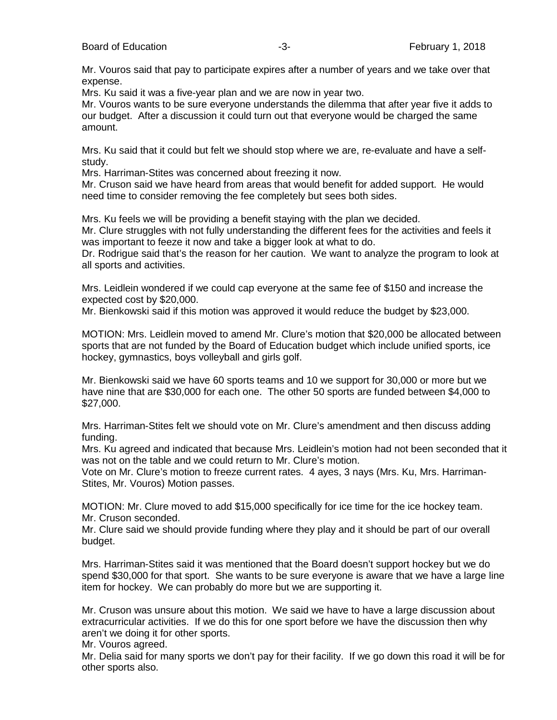Mr. Vouros said that pay to participate expires after a number of years and we take over that expense.

Mrs. Ku said it was a five-year plan and we are now in year two.

Mr. Vouros wants to be sure everyone understands the dilemma that after year five it adds to our budget. After a discussion it could turn out that everyone would be charged the same amount.

Mrs. Ku said that it could but felt we should stop where we are, re-evaluate and have a selfstudy.

Mrs. Harriman-Stites was concerned about freezing it now.

Mr. Cruson said we have heard from areas that would benefit for added support. He would need time to consider removing the fee completely but sees both sides.

Mrs. Ku feels we will be providing a benefit staying with the plan we decided.

Mr. Clure struggles with not fully understanding the different fees for the activities and feels it was important to feeze it now and take a bigger look at what to do.

Dr. Rodrigue said that's the reason for her caution. We want to analyze the program to look at all sports and activities.

Mrs. Leidlein wondered if we could cap everyone at the same fee of \$150 and increase the expected cost by \$20,000.

Mr. Bienkowski said if this motion was approved it would reduce the budget by \$23,000.

MOTION: Mrs. Leidlein moved to amend Mr. Clure's motion that \$20,000 be allocated between sports that are not funded by the Board of Education budget which include unified sports, ice hockey, gymnastics, boys volleyball and girls golf.

Mr. Bienkowski said we have 60 sports teams and 10 we support for 30,000 or more but we have nine that are \$30,000 for each one. The other 50 sports are funded between \$4,000 to \$27,000.

Mrs. Harriman-Stites felt we should vote on Mr. Clure's amendment and then discuss adding funding.

Mrs. Ku agreed and indicated that because Mrs. Leidlein's motion had not been seconded that it was not on the table and we could return to Mr. Clure's motion.

Vote on Mr. Clure's motion to freeze current rates. 4 ayes, 3 nays (Mrs. Ku, Mrs. Harriman-Stites, Mr. Vouros) Motion passes.

MOTION: Mr. Clure moved to add \$15,000 specifically for ice time for the ice hockey team. Mr. Cruson seconded.

Mr. Clure said we should provide funding where they play and it should be part of our overall budget.

Mrs. Harriman-Stites said it was mentioned that the Board doesn't support hockey but we do spend \$30,000 for that sport. She wants to be sure everyone is aware that we have a large line item for hockey. We can probably do more but we are supporting it.

Mr. Cruson was unsure about this motion. We said we have to have a large discussion about extracurricular activities. If we do this for one sport before we have the discussion then why aren't we doing it for other sports.

Mr. Vouros agreed.

Mr. Delia said for many sports we don't pay for their facility. If we go down this road it will be for other sports also.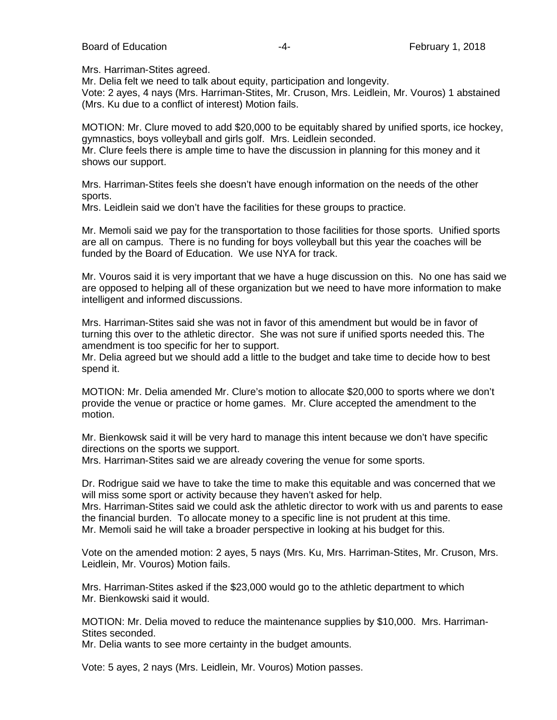Board of Education **Francisco Contract Contract Contract Contract Contract Contract Contract Contract Contract Contract Contract Contract Contract Contract Contract Contract Contract Contract Contract Contract Contract Con** 

Mrs. Harriman-Stites agreed.

Mr. Delia felt we need to talk about equity, participation and longevity. Vote: 2 ayes, 4 nays (Mrs. Harriman-Stites, Mr. Cruson, Mrs. Leidlein, Mr. Vouros) 1 abstained (Mrs. Ku due to a conflict of interest) Motion fails.

MOTION: Mr. Clure moved to add \$20,000 to be equitably shared by unified sports, ice hockey, gymnastics, boys volleyball and girls golf. Mrs. Leidlein seconded. Mr. Clure feels there is ample time to have the discussion in planning for this money and it shows our support.

Mrs. Harriman-Stites feels she doesn't have enough information on the needs of the other sports.

Mrs. Leidlein said we don't have the facilities for these groups to practice.

Mr. Memoli said we pay for the transportation to those facilities for those sports. Unified sports are all on campus. There is no funding for boys volleyball but this year the coaches will be funded by the Board of Education. We use NYA for track.

Mr. Vouros said it is very important that we have a huge discussion on this. No one has said we are opposed to helping all of these organization but we need to have more information to make intelligent and informed discussions.

Mrs. Harriman-Stites said she was not in favor of this amendment but would be in favor of turning this over to the athletic director. She was not sure if unified sports needed this. The amendment is too specific for her to support.

Mr. Delia agreed but we should add a little to the budget and take time to decide how to best spend it.

MOTION: Mr. Delia amended Mr. Clure's motion to allocate \$20,000 to sports where we don't provide the venue or practice or home games. Mr. Clure accepted the amendment to the motion.

Mr. Bienkowsk said it will be very hard to manage this intent because we don't have specific directions on the sports we support.

Mrs. Harriman-Stites said we are already covering the venue for some sports.

Dr. Rodrigue said we have to take the time to make this equitable and was concerned that we will miss some sport or activity because they haven't asked for help.

Mrs. Harriman-Stites said we could ask the athletic director to work with us and parents to ease the financial burden. To allocate money to a specific line is not prudent at this time. Mr. Memoli said he will take a broader perspective in looking at his budget for this.

Vote on the amended motion: 2 ayes, 5 nays (Mrs. Ku, Mrs. Harriman-Stites, Mr. Cruson, Mrs. Leidlein, Mr. Vouros) Motion fails.

Mrs. Harriman-Stites asked if the \$23,000 would go to the athletic department to which Mr. Bienkowski said it would.

MOTION: Mr. Delia moved to reduce the maintenance supplies by \$10,000. Mrs. Harriman-Stites seconded.

Mr. Delia wants to see more certainty in the budget amounts.

Vote: 5 ayes, 2 nays (Mrs. Leidlein, Mr. Vouros) Motion passes.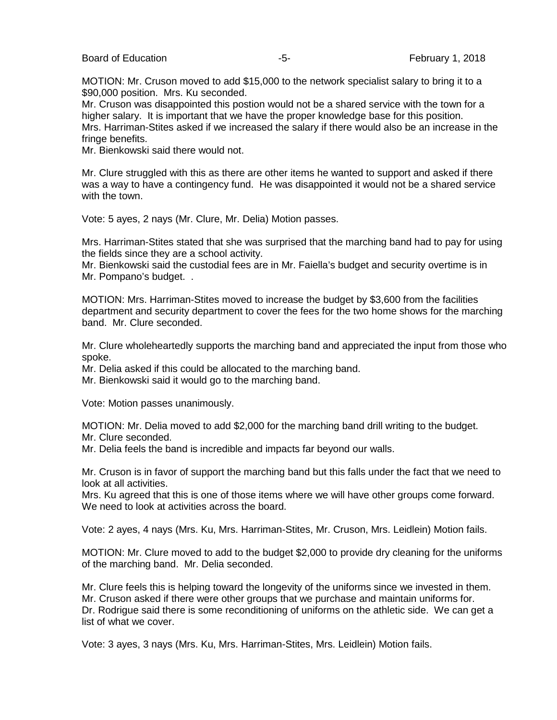MOTION: Mr. Cruson moved to add \$15,000 to the network specialist salary to bring it to a \$90,000 position. Mrs. Ku seconded.

Mr. Cruson was disappointed this postion would not be a shared service with the town for a higher salary. It is important that we have the proper knowledge base for this position. Mrs. Harriman-Stites asked if we increased the salary if there would also be an increase in the fringe benefits.

Mr. Bienkowski said there would not.

Mr. Clure struggled with this as there are other items he wanted to support and asked if there was a way to have a contingency fund. He was disappointed it would not be a shared service with the town.

Vote: 5 ayes, 2 nays (Mr. Clure, Mr. Delia) Motion passes.

Mrs. Harriman-Stites stated that she was surprised that the marching band had to pay for using the fields since they are a school activity.

Mr. Bienkowski said the custodial fees are in Mr. Faiella's budget and security overtime is in Mr. Pompano's budget..

MOTION: Mrs. Harriman-Stites moved to increase the budget by \$3,600 from the facilities department and security department to cover the fees for the two home shows for the marching band. Mr. Clure seconded.

Mr. Clure wholeheartedly supports the marching band and appreciated the input from those who spoke.

Mr. Delia asked if this could be allocated to the marching band.

Mr. Bienkowski said it would go to the marching band.

Vote: Motion passes unanimously.

MOTION: Mr. Delia moved to add \$2,000 for the marching band drill writing to the budget. Mr. Clure seconded.

Mr. Delia feels the band is incredible and impacts far beyond our walls.

Mr. Cruson is in favor of support the marching band but this falls under the fact that we need to look at all activities.

Mrs. Ku agreed that this is one of those items where we will have other groups come forward. We need to look at activities across the board.

Vote: 2 ayes, 4 nays (Mrs. Ku, Mrs. Harriman-Stites, Mr. Cruson, Mrs. Leidlein) Motion fails.

MOTION: Mr. Clure moved to add to the budget \$2,000 to provide dry cleaning for the uniforms of the marching band. Mr. Delia seconded.

Mr. Clure feels this is helping toward the longevity of the uniforms since we invested in them. Mr. Cruson asked if there were other groups that we purchase and maintain uniforms for. Dr. Rodrigue said there is some reconditioning of uniforms on the athletic side. We can get a list of what we cover.

Vote: 3 ayes, 3 nays (Mrs. Ku, Mrs. Harriman-Stites, Mrs. Leidlein) Motion fails.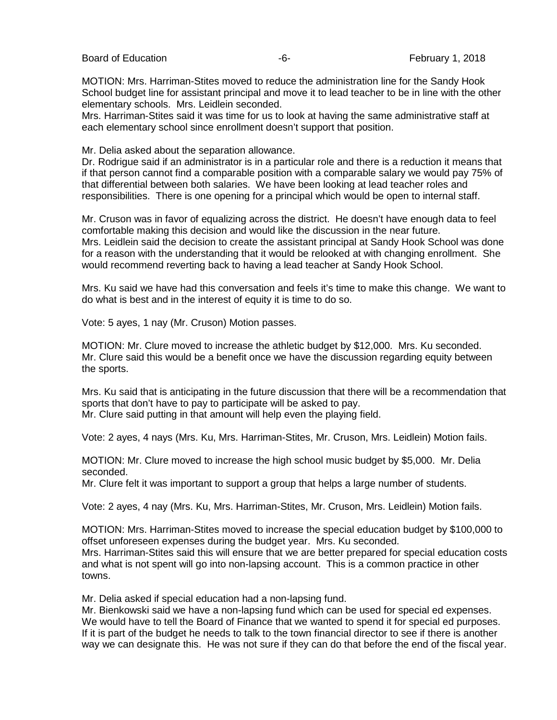Board of Education **Francisco Community** Control Community Control Community Control Control Control Community Control Control Control Control Control Control Control Control Control Control Control Control Control Control

MOTION: Mrs. Harriman-Stites moved to reduce the administration line for the Sandy Hook School budget line for assistant principal and move it to lead teacher to be in line with the other elementary schools. Mrs. Leidlein seconded.

Mrs. Harriman-Stites said it was time for us to look at having the same administrative staff at each elementary school since enrollment doesn't support that position.

Mr. Delia asked about the separation allowance.

Dr. Rodrigue said if an administrator is in a particular role and there is a reduction it means that if that person cannot find a comparable position with a comparable salary we would pay 75% of that differential between both salaries. We have been looking at lead teacher roles and responsibilities. There is one opening for a principal which would be open to internal staff.

Mr. Cruson was in favor of equalizing across the district. He doesn't have enough data to feel comfortable making this decision and would like the discussion in the near future. Mrs. Leidlein said the decision to create the assistant principal at Sandy Hook School was done for a reason with the understanding that it would be relooked at with changing enrollment. She would recommend reverting back to having a lead teacher at Sandy Hook School.

Mrs. Ku said we have had this conversation and feels it's time to make this change. We want to do what is best and in the interest of equity it is time to do so.

Vote: 5 ayes, 1 nay (Mr. Cruson) Motion passes.

MOTION: Mr. Clure moved to increase the athletic budget by \$12,000. Mrs. Ku seconded. Mr. Clure said this would be a benefit once we have the discussion regarding equity between the sports.

Mrs. Ku said that is anticipating in the future discussion that there will be a recommendation that sports that don't have to pay to participate will be asked to pay. Mr. Clure said putting in that amount will help even the playing field.

Vote: 2 ayes, 4 nays (Mrs. Ku, Mrs. Harriman-Stites, Mr. Cruson, Mrs. Leidlein) Motion fails.

MOTION: Mr. Clure moved to increase the high school music budget by \$5,000. Mr. Delia seconded.

Mr. Clure felt it was important to support a group that helps a large number of students.

Vote: 2 ayes, 4 nay (Mrs. Ku, Mrs. Harriman-Stites, Mr. Cruson, Mrs. Leidlein) Motion fails.

MOTION: Mrs. Harriman-Stites moved to increase the special education budget by \$100,000 to offset unforeseen expenses during the budget year. Mrs. Ku seconded.

Mrs. Harriman-Stites said this will ensure that we are better prepared for special education costs and what is not spent will go into non-lapsing account. This is a common practice in other towns.

Mr. Delia asked if special education had a non-lapsing fund.

Mr. Bienkowski said we have a non-lapsing fund which can be used for special ed expenses. We would have to tell the Board of Finance that we wanted to spend it for special ed purposes. If it is part of the budget he needs to talk to the town financial director to see if there is another way we can designate this. He was not sure if they can do that before the end of the fiscal year.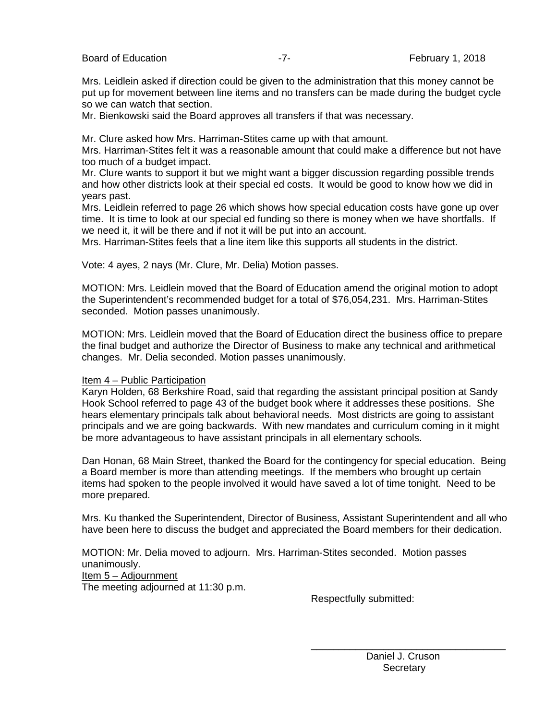Board of Education **Francisco Community** 1, 2018

Mrs. Leidlein asked if direction could be given to the administration that this money cannot be put up for movement between line items and no transfers can be made during the budget cycle so we can watch that section.

Mr. Bienkowski said the Board approves all transfers if that was necessary.

Mr. Clure asked how Mrs. Harriman-Stites came up with that amount.

Mrs. Harriman-Stites felt it was a reasonable amount that could make a difference but not have too much of a budget impact.

Mr. Clure wants to support it but we might want a bigger discussion regarding possible trends and how other districts look at their special ed costs. It would be good to know how we did in years past.

Mrs. Leidlein referred to page 26 which shows how special education costs have gone up over time. It is time to look at our special ed funding so there is money when we have shortfalls. If we need it, it will be there and if not it will be put into an account.

Mrs. Harriman-Stites feels that a line item like this supports all students in the district.

Vote: 4 ayes, 2 nays (Mr. Clure, Mr. Delia) Motion passes.

MOTION: Mrs. Leidlein moved that the Board of Education amend the original motion to adopt the Superintendent's recommended budget for a total of \$76,054,231. Mrs. Harriman-Stites seconded. Motion passes unanimously.

MOTION: Mrs. Leidlein moved that the Board of Education direct the business office to prepare the final budget and authorize the Director of Business to make any technical and arithmetical changes. Mr. Delia seconded. Motion passes unanimously.

### Item 4 – Public Participation

Karyn Holden, 68 Berkshire Road, said that regarding the assistant principal position at Sandy Hook School referred to page 43 of the budget book where it addresses these positions. She hears elementary principals talk about behavioral needs. Most districts are going to assistant principals and we are going backwards. With new mandates and curriculum coming in it might be more advantageous to have assistant principals in all elementary schools.

Dan Honan, 68 Main Street, thanked the Board for the contingency for special education. Being a Board member is more than attending meetings. If the members who brought up certain items had spoken to the people involved it would have saved a lot of time tonight. Need to be more prepared.

Mrs. Ku thanked the Superintendent, Director of Business, Assistant Superintendent and all who have been here to discuss the budget and appreciated the Board members for their dedication.

MOTION: Mr. Delia moved to adjourn. Mrs. Harriman-Stites seconded. Motion passes unanimously.

Item 5 – Adjournment

The meeting adjourned at 11:30 p.m.

Respectfully submitted:

 Daniel J. Cruson **Secretary** 

\_\_\_\_\_\_\_\_\_\_\_\_\_\_\_\_\_\_\_\_\_\_\_\_\_\_\_\_\_\_\_\_\_\_\_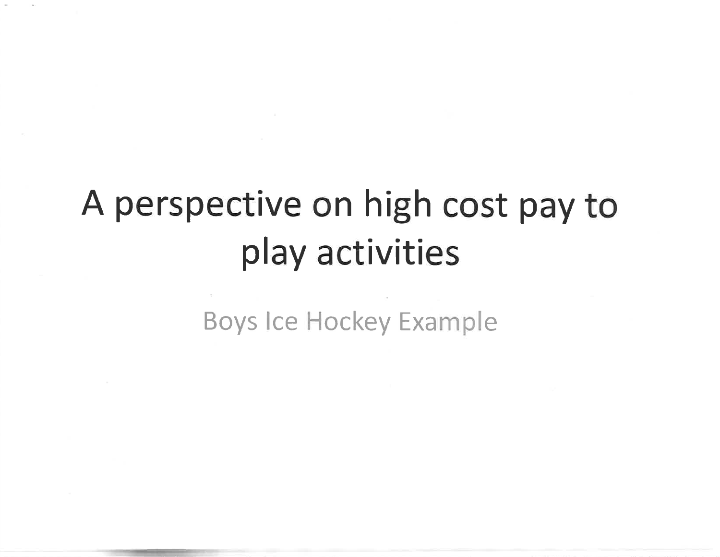# A perspective on high cost pay to play activities

**Boys Ice Hockey Example**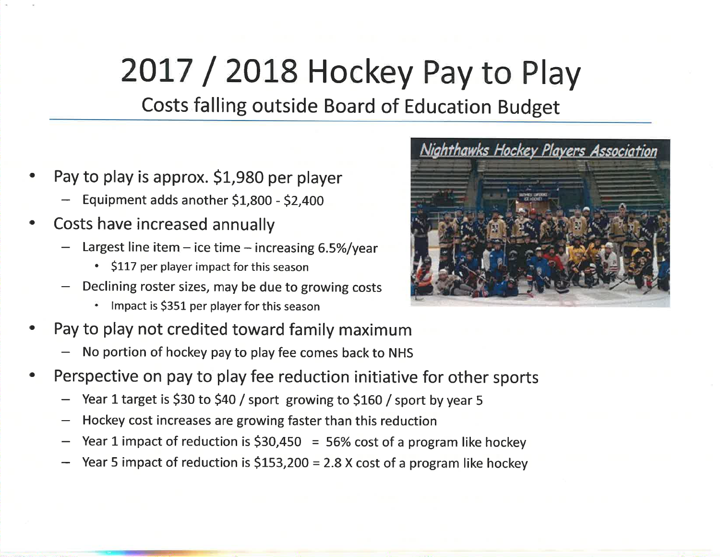## 2017 / 2018 Hockey Pay to Play

Costs falling outside Board of Education Budget

- Pay to play is approx. \$1,980 per player
	- Equipment adds another \$1,800 \$2,400
- Costs have increased annually
	- Largest line item ice time increasing  $6.5\%$ /year
		- \$117 per player impact for this season
	- Declining roster sizes, may be due to growing costs
		- \* Impact is \$351 per player for this season
- Pay to play not credited toward family maximum
	- No portion of hockey pay to play fee comes back to NHS
- Perspective on pay to play fee reduction initiative for other sports
	- Year 1 target is \$30 to \$40 / sport growing to \$160 / sport by year 5
	- Hockey cost increases are growing faster than this reduction
	- Year 1 impact of reduction is  $$30,450 = 56\%$  cost of a program like hockey
	- Year 5 impact of reduction is  $$153,200 = 2.8$  X cost of a program like hockey

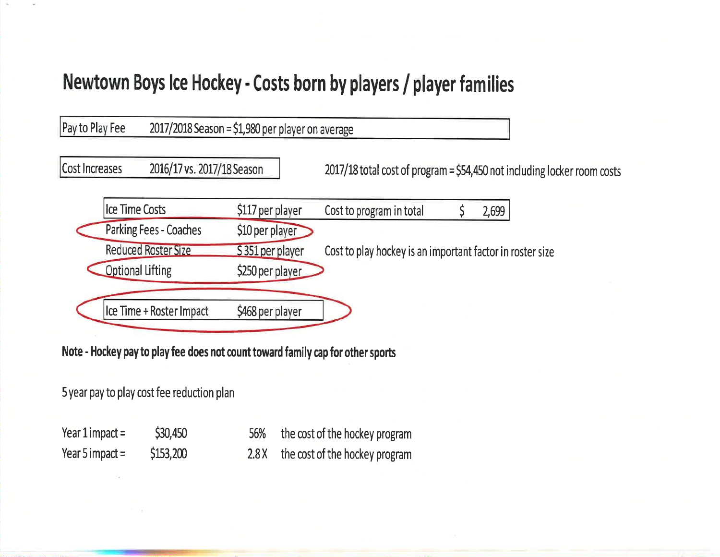## Newtown Boys Ice Hockey - Costs born by players / player families

Pay to Play Fee 2017/2018 Season = \$1,980 per player on average



Note - Hockey pay to play fee does not count toward family cap for other sports

5 year pay to play cost fee reduction plan

| Year $1$ impact = | \$30,450  | 56% | the cost of the hockey program       |
|-------------------|-----------|-----|--------------------------------------|
| Year 5 impact $=$ | \$153,200 |     | 2.8 X the cost of the hockey program |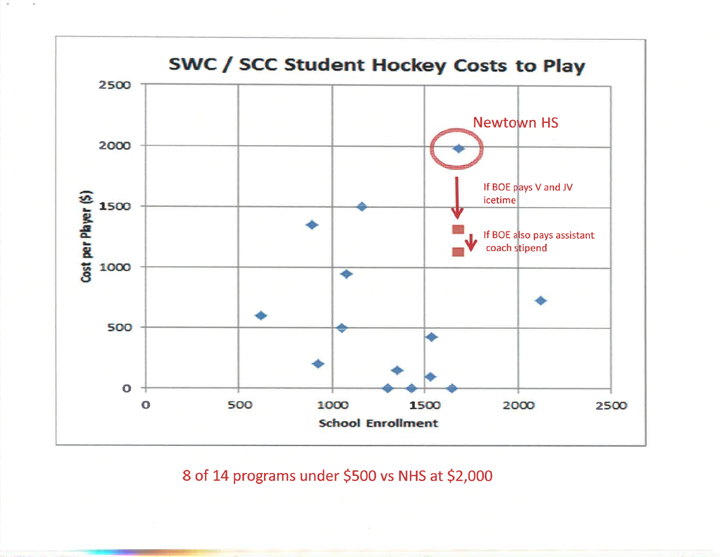

8 of 14 programs under \$500 vs NHS at \$2,000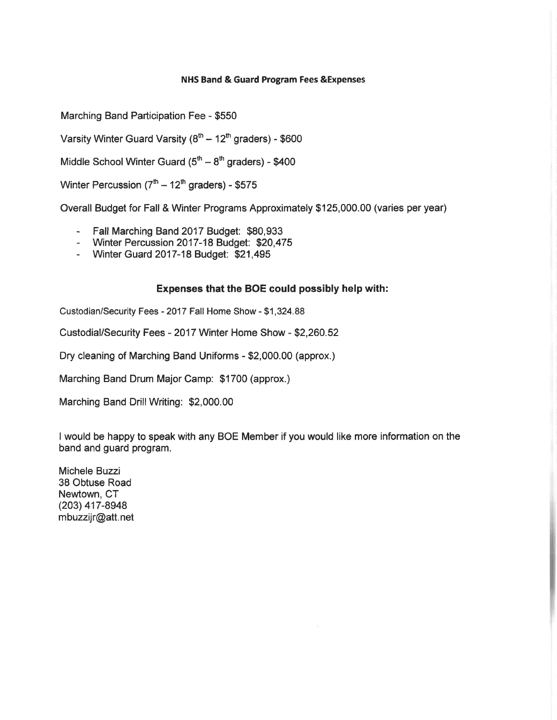### **NHS Band & Guard Program Fees & Expenses**

Marching Band Participation Fee - \$550

Varsity Winter Guard Varsity  $(8^{th} - 12^{th}$  graders) - \$600

Middle School Winter Guard  $(5<sup>th</sup> - 8<sup>th</sup>$  graders) - \$400

Winter Percussion  $(7<sup>th</sup> - 12<sup>th</sup>$  graders) - \$575

Overall Budget for Fall & Winter Programs Approximately \$125,000.00 (varies per year)

- Fall Marching Band 2017 Budget: \$80,933
- Winter Percussion 2017-18 Budget: \$20,475
- Winter Guard 2017-18 Budget: \$21,495

### Expenses that the BOE could possibly help with:

Custodian/Security Fees - 2017 Fall Home Show - \$1,324.88

Custodial/Security Fees - 2017 Winter Home Show - \$2,260.52

Dry cleaning of Marching Band Uniforms - \$2,000.00 (approx.)

Marching Band Drum Major Camp: \$1700 (approx.)

Marching Band Drill Writing: \$2,000.00

I would be happy to speak with any BOE Member if you would like more information on the band and guard program.

Michele Buzzi 38 Obtuse Road Newtown, CT (203) 417-8948 mbuzzijr@att.net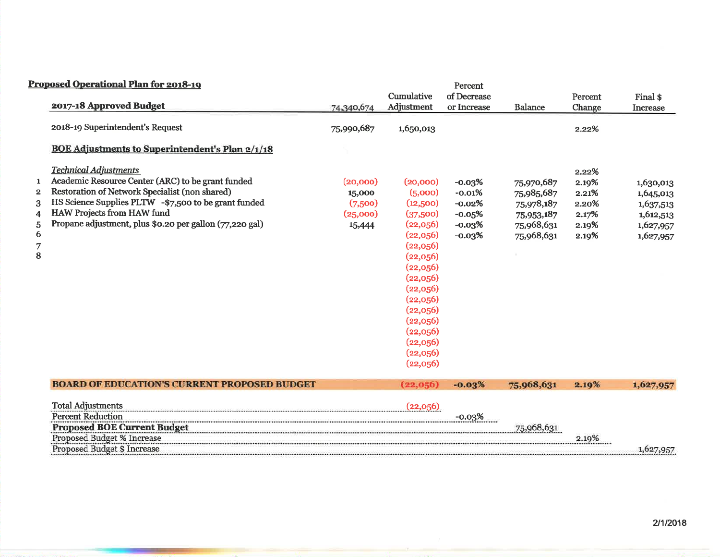|              | <b>Proposed Operational Plan for 2018-19</b>            |            |                      | Percent     |                |         |                 |
|--------------|---------------------------------------------------------|------------|----------------------|-------------|----------------|---------|-----------------|
|              |                                                         |            | Cumulative           | of Decrease |                | Percent | Final \$        |
|              | 2017-18 Approved Budget                                 | 74,340,674 | Adjustment           | or Increase | <b>Balance</b> | Change  | <b>Increase</b> |
|              | 2018-19 Superintendent's Request                        | 75,990,687 | 1,650,013            |             |                | 2.22%   |                 |
|              | <b>BOE Adjustments to Superintendent's Plan 2/1/18</b>  |            |                      |             |                |         |                 |
|              | <b>Technical Adjustments</b>                            |            |                      |             |                | 2.22%   |                 |
| 1            | Academic Resource Center (ARC) to be grant funded       | (20,000)   | (20,000)             | $-0.03\%$   | 75,970,687     | 2.19%   | 1,630,013       |
| $\mathbf{2}$ | Restoration of Network Specialist (non shared)          | 15,000     | (5,000)              | $-0.01%$    | 75,985,687     | 2.21%   | 1,645,013       |
| 3            | HS Science Supplies PLTW -\$7,500 to be grant funded    | (7,500)    | (12,500)             | $-0.02%$    | 75,978,187     | 2.20%   | 1,637,513       |
| 4            | HAW Projects from HAW fund                              | (25,000)   | (37,500)             | $-0.05%$    | 75,953,187     | 2.17%   | 1,612,513       |
| 5            | Propane adjustment, plus \$0.20 per gallon (77,220 gal) | 15,444     | (22,056)             | $-0.03%$    | 75,968,631     | 2.19%   | 1,627,957       |
| 6            |                                                         |            | (22,056)             | $-0.03%$    | 75,968,631     | 2.19%   | 1,627,957       |
| 7<br>8       |                                                         |            | (22,056)             |             |                |         |                 |
|              |                                                         |            | (22,056)             |             |                |         |                 |
|              |                                                         |            | (22,056)<br>(22,056) |             |                |         |                 |
|              |                                                         |            | (22,056)             |             |                |         |                 |
|              |                                                         |            | (22,056)             |             |                |         |                 |
|              |                                                         |            | (22,056)             |             |                |         |                 |
|              |                                                         |            | (22,056)             |             |                |         |                 |
|              |                                                         |            | (22,056)             |             |                |         |                 |
|              |                                                         |            | (22,056)             |             |                |         |                 |
|              |                                                         |            | (22,056)             |             |                |         |                 |
|              |                                                         |            | (22,056)             |             |                |         |                 |
|              | <b>BOARD OF EDUCATION'S CURRENT PROPOSED BUDGET</b>     |            | (22, 056)            | $-0.03%$    | 75,968,631     | 2.19%   | 1,627,957       |
|              | <b>Total Adjustments</b>                                |            | (22,056)             |             |                |         |                 |
|              | <b>Percent Reduction</b>                                |            |                      | $-0.03%$    |                |         |                 |
|              | <b>Proposed BOE Current Budget</b>                      |            |                      |             | 75,968,631     |         |                 |
|              | Proposed Budget % Increase                              |            |                      |             |                | 2.19%   |                 |
|              | Proposed Budget \$ Increase                             |            |                      |             |                |         | 1,627,957       |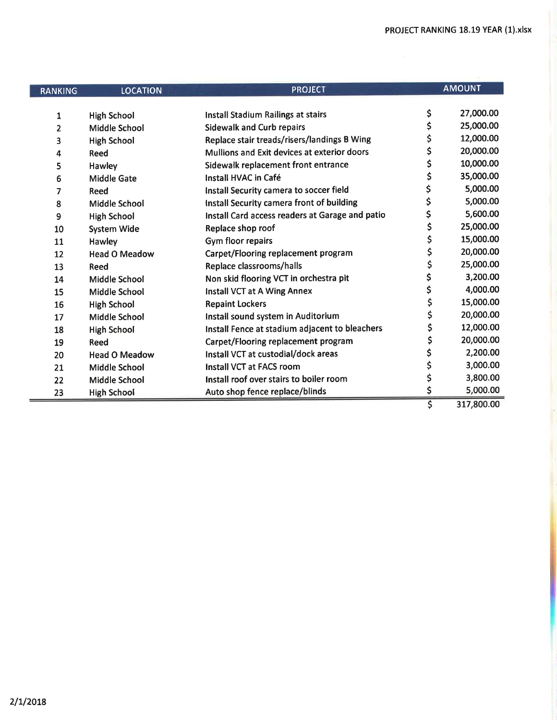| RANKING        | <b>LOCATION</b>      | <b>PROJECT</b>                                  | <b>AMOUNT</b>    |
|----------------|----------------------|-------------------------------------------------|------------------|
|                |                      |                                                 |                  |
| 1              | <b>High School</b>   | <b>Install Stadium Railings at stairs</b>       | \$<br>27,000.00  |
| $\overline{2}$ | Middle School        | <b>Sidewalk and Curb repairs</b>                | \$<br>25,000.00  |
| 3              | <b>High School</b>   | Replace stair treads/risers/landings B Wing     | \$<br>12,000.00  |
| 4              | Reed                 | Mullions and Exit devices at exterior doors     | \$<br>20,000.00  |
| 5              | Hawley               | Sidewalk replacement front entrance             | \$<br>10,000.00  |
| 6              | <b>Middle Gate</b>   | Install HVAC in Café                            | \$<br>35,000.00  |
| 7              | Reed                 | \$<br>Install Security camera to soccer field   | 5,000.00         |
| 8              | <b>Middle School</b> | Install Security camera front of building       | \$<br>5,000.00   |
| 9              | <b>High School</b>   | Install Card access readers at Garage and patio | \$<br>5,600.00   |
| 10             | <b>System Wide</b>   | Replace shop roof                               | \$<br>25,000.00  |
| 11             | Hawley               | Gym floor repairs                               | \$<br>15,000.00  |
| 12             | <b>Head O Meadow</b> | Carpet/Flooring replacement program             | \$<br>20,000.00  |
| 13             | Reed                 | Replace classrooms/halls                        | \$<br>25,000.00  |
| 14             | Middle School        | Non skid flooring VCT in orchestra pit          | \$<br>3,200.00   |
| 15             | <b>Middle School</b> | Install VCT at A Wing Annex                     | \$<br>4,000.00   |
| 16             | <b>High School</b>   | <b>Repaint Lockers</b>                          | \$<br>15,000.00  |
| 17             | Middle School        | Install sound system in Auditorium              | \$<br>20,000.00  |
| 18             | <b>High School</b>   | Install Fence at stadium adjacent to bleachers  | \$<br>12,000.00  |
| 19             | Reed                 | Carpet/Flooring replacement program             | \$<br>20,000.00  |
| 20             | <b>Head O Meadow</b> | Install VCT at custodial/dock areas             | \$<br>2,200.00   |
| 21             | <b>Middle School</b> | <b>Install VCT at FACS room</b>                 | \$<br>3,000.00   |
| 22             | <b>Middle School</b> | Install roof over stairs to boiler room         | \$<br>3,800.00   |
| 23             | <b>High School</b>   | Auto shop fence replace/blinds                  | \$<br>5,000.00   |
|                |                      |                                                 | \$<br>317,800.00 |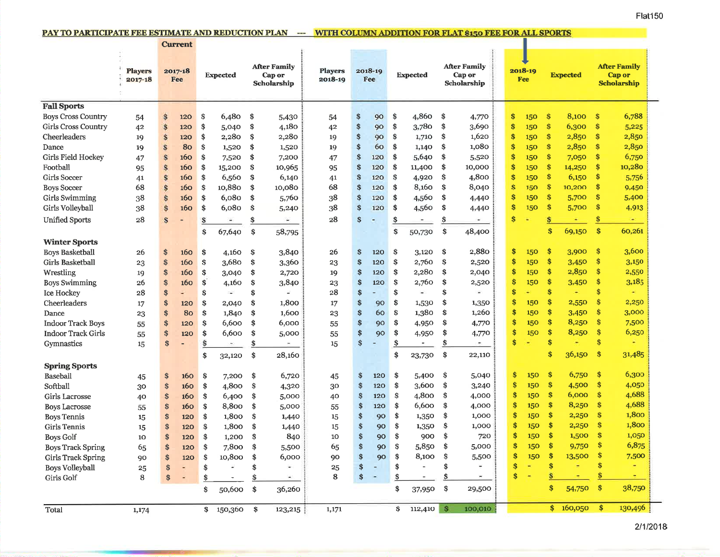#### PAY TO PARTICIPATE FEE ESTIMATE AND REDUCTION PLAN --- WITH COLUMN ADDITION FOR FLAT \$150 FEE FOR ALL SPORTS П

|                           |                           |    | <b>Current</b> |    |                          |     |                                              |                           |                |               |                          |               |                                              |               |                       |     |               |                 |               |                                                            |
|---------------------------|---------------------------|----|----------------|----|--------------------------|-----|----------------------------------------------|---------------------------|----------------|---------------|--------------------------|---------------|----------------------------------------------|---------------|-----------------------|-----|---------------|-----------------|---------------|------------------------------------------------------------|
|                           | <b>Players</b><br>2017-18 |    | 2017-18<br>Fee |    | <b>Expected</b>          |     | <b>After Family</b><br>Cap or<br>Scholarship | <b>Players</b><br>2018-19 | 2018-19<br>Fee |               | <b>Expected</b>          |               | <b>After Family</b><br>Cap or<br>Scholarship |               | 2018-19<br><b>Fee</b> |     |               | <b>Expected</b> |               | <b>After Family</b><br><b>Cap or</b><br><b>Scholarship</b> |
| <b>Fall Sports</b>        |                           |    |                |    |                          |     |                                              |                           |                |               |                          |               |                                              |               |                       |     |               |                 |               |                                                            |
| <b>Boys Cross Country</b> | 54                        | S. | 120            | \$ | 6,480                    | \$  | 5,430                                        | 54                        | \$<br>90       | \$            | 4,860                    | \$            | 4,770                                        | \$            |                       | 150 | $\frac{1}{2}$ | 8,100           | $\frac{3}{2}$ | 6,788                                                      |
| Girls Cross Country       | 42                        | \$ | 120            | \$ | 5,040                    | \$  | 4,180                                        | 42                        | \$<br>90       | \$            | 3,780                    | \$            | 3,690                                        | \$            |                       | 150 | \$            | 6,300           | $\frac{1}{2}$ | 5,225                                                      |
| Cheerleaders              | 19                        | S  | 120            | \$ | 2,280                    | \$  | 2,280                                        | 19                        | \$<br>90       | \$            | 1,710                    | \$            | 1,620                                        | $\frac{1}{2}$ |                       | 150 | \$            | 2,850           | \$            | 2,850                                                      |
| Dance                     | 19                        | \$ | 80             | \$ | 1,520                    | \$  | 1,520                                        | 19                        | \$<br>60       | \$            | 1,140                    | \$            | 1,080                                        | \$            |                       | 150 | \$            | 2,850           | \$            | 2,850                                                      |
| Girls Field Hockey        | 47                        | s  | 160            | \$ | 7,520                    | \$  | 7,200                                        | 47                        | \$<br>120      | \$            | 5,640                    | \$            | 5,520                                        | \$            |                       | 150 | \$            | 7,050           | \$            | 6,750                                                      |
| Football                  | 95                        | \$ | 160            | \$ | 15,200                   | \$  | 10,965                                       | 95                        | \$<br>120      | \$            | 11,400                   | \$            | 10,000                                       | \$            |                       | 150 | \$            | 14,250          | \$            | 10,280                                                     |
| Girls Soccer              | 41                        | \$ | 160            | \$ | 6,560                    | \$  | 6,140                                        | 41                        | \$<br>120      | \$            | 4,920                    | \$            | 4,800                                        | $\frac{1}{2}$ |                       | 150 | \$            | 6,150           | $\mathbf{\$}$ | 5,756                                                      |
| <b>Boys Soccer</b>        | 68                        | \$ | 160            | S, | 10,880                   | \$  | 10,080                                       | 68                        | \$<br>120      | \$            | 8,160                    | S             | 8,040                                        | \$            |                       | 150 | \$            | 10,200          | \$            | 9,450                                                      |
| Girls Swimming            | 38                        | \$ | 160            | \$ | 6,080                    | \$  | 5,760                                        | 38                        | \$<br>120      | \$            | 4,560                    | \$            | 4,440                                        | \$            |                       | 150 | \$            | 5,700           | \$            | 5,400                                                      |
| Girls Volleyball          | 38                        | \$ | 160            | \$ | 6,080                    | Ŝ   | 5,240                                        | 38                        | \$<br>120      | \$            | 4,560                    | \$            | 4,440                                        | \$            |                       | 150 | \$            | 5,700           | $\frac{1}{2}$ | 4,913                                                      |
| <b>Unified Sports</b>     | 28                        | \$ |                | \$ | $\overline{\phantom{a}}$ | \$  | $\frac{1}{2}$                                | 28                        | \$             | \$            | $\overline{\phantom{a}}$ | $\frac{1}{2}$ |                                              | \$            |                       |     | S             | ٠               | \$            |                                                            |
|                           |                           |    |                |    |                          |     |                                              |                           |                |               |                          |               |                                              |               |                       |     | \$            |                 | \$            | 60,261                                                     |
|                           |                           |    |                | \$ | 67,640                   | \$  | 58,795                                       |                           |                | \$            | 50,730                   | \$            | 48,400                                       |               |                       |     |               | 69,150          |               |                                                            |
| <b>Winter Sports</b>      |                           |    |                |    |                          |     |                                              |                           |                |               |                          |               | 2,880                                        |               |                       |     |               |                 | \$            |                                                            |
| <b>Boys Basketball</b>    | 26                        | \$ | 160            | \$ | 4,160                    | \$  | 3,840                                        | 26                        | \$<br>120      | S             | 3,120                    | \$            |                                              | \$            |                       | 150 | \$            | 3,900           |               | 3,600                                                      |
| Girls Basketball          | 23                        | \$ | 160            | \$ | 3,680                    | \$  | 3,360                                        | 23                        | \$<br>120      | \$            | 2,760                    | \$            | 2,520                                        | \$            |                       | 150 | \$            | 3,450           | \$            | 3,150                                                      |
| Wrestling                 | 19                        | \$ | 160            | \$ | 3,040                    | \$  | 2,720                                        | 19                        | \$<br>120      | \$            | 2,280                    | \$            | 2,040                                        | \$            |                       | 150 | \$            | 2,850           | \$            | 2,550                                                      |
| <b>Boys Swimming</b>      | 26                        | \$ | 160            | \$ | 4,160                    | \$  | 3,840                                        | 23                        | \$<br>120      | \$            | 2,760                    | \$            | 2,520                                        | \$            |                       | 150 | \$            | 3,450           | \$            | 3,185                                                      |
| Ice Hockey                | 28                        | \$ | ٠              | \$ | ÷                        | \$  |                                              | 28                        | \$             | \$            | ×                        | \$            |                                              | \$            |                       |     | \$            | ٠               | \$            |                                                            |
| Cheerleaders              | 17                        | \$ | 120            | \$ | 2,040                    | \$  | 1,800                                        | 17                        | \$<br>90       | \$            | 1,530                    | \$            | 1,350                                        | \$            |                       | 150 | \$            | 2,550           | <sup>\$</sup> | 2,250                                                      |
| Dance                     | 23                        | \$ | 80             | \$ | 1,840                    | \$  | 1,600                                        | 23                        | \$<br>60       | \$            | 1,380                    | \$            | 1,260                                        | \$            |                       | 150 | \$            | 3,450           | S             | 3,000                                                      |
| <b>Indoor Track Boys</b>  | 55                        | \$ | 120            | \$ | 6,600                    | \$  | 6,000                                        | 55                        | \$<br>90       | \$            | 4,950                    | \$            | 4,770                                        | \$            |                       | 150 | \$            | 8,250           | \$            | 7,500                                                      |
| <b>Indoor Track Girls</b> | 55                        | \$ | 120            | \$ | 6,600                    | \$  | 5,000                                        | 55                        | \$<br>90       | \$            | 4,950                    | \$            | 4,770                                        | \$            |                       | 150 | \$            | 8,250           | \$            | 6,250                                                      |
| Gymnastics                | 15                        | \$ |                | s  | $\blacksquare$           | \$  | $\rightarrow$                                | 15                        | \$             | \$            | $\tilde{\phantom{a}}$    | \$            | ×.                                           | \$            |                       |     | \$            | ٠               | \$            |                                                            |
|                           |                           |    |                | \$ | 32,120                   | \$  | 28,160                                       |                           |                | \$            | 23,730                   | \$            | 22,110                                       |               |                       |     | \$            | 36,150          | \$            | 31,485                                                     |
| <b>Spring Sports</b>      |                           |    |                |    |                          |     |                                              |                           |                |               |                          |               |                                              |               |                       |     |               |                 |               |                                                            |
| Baseball                  | 45                        | \$ | 160            | \$ | 7,200                    | \$  | 6,720                                        | 45                        | \$<br>120      | \$            | 5,400                    | \$            | 5,040                                        | \$            |                       | 150 | \$            | 6,750           | \$            | 6,300                                                      |
| Softball                  | 30                        | \$ | 160            | \$ | 4,800                    | \$  | 4,320                                        | 30                        | \$<br>120      | \$            | 3,600                    | \$            | 3,240                                        | \$            |                       | 150 | \$            | 4,500           | \$            | 4,050                                                      |
| Girls Lacrosse            | 40                        | \$ | 160            | \$ | 6,400                    | \$  | 5,000                                        | 40                        | \$<br>120      | <b>S</b>      | 4,800                    | \$            | 4,000                                        | \$            |                       | 150 | \$            | 6,000           | \$            | 4,688                                                      |
| <b>Boys Lacrosse</b>      | 55                        | \$ | 160            | \$ | 8,800                    | \$  | 5,000                                        | 55                        | \$<br>120      | \$            | 6,600                    | \$            | 4,000                                        | \$            |                       | 150 | \$            | 8,250           | \$            | 4,688                                                      |
| <b>Boys Tennis</b>        | 15                        | \$ | 120            | \$ | 1,800                    | \$  | 1,440                                        | 15                        | \$<br>90       | \$            | 1,350                    | \$            | 1,000                                        |               | \$                    | 150 | \$            | 2,250           | \$            | 1,800                                                      |
| Girls Tennis              | 15                        | \$ | 120            | \$ | 1,800                    | \$  | 1,440                                        | 15                        | \$<br>90       | \$            | 1,350                    | \$            | 1,000                                        |               | \$                    | 150 | \$            | 2,250           | \$            | 1,800                                                      |
| <b>Boys Golf</b>          | 10                        | \$ | 120            | \$ | 1,200                    | \$  | 840                                          | 10                        | \$<br>90       | \$            | 900                      | \$            | 720                                          |               | \$                    | 150 | \$            | 1,500           | \$            | 1,050                                                      |
| <b>Boys Track Spring</b>  | 65                        | \$ | <b>120</b>     | \$ | 7,800                    | \$  | 5,500                                        | 65                        | \$<br>90       | \$            | 5,850                    |               | 5,000                                        |               | \$                    | 150 | $\frac{1}{2}$ | 9,750           | \$            | 6,875                                                      |
| Girls Track Spring        | 90                        | \$ | 120            | -S | 10,800                   | \$  | 6,000                                        | 90                        | \$<br>90       | \$            | 8,100                    | \$            | 5,500                                        |               | \$                    | 150 | \$            | 13,500          | $\frac{3}{2}$ | 7,500                                                      |
| <b>Boys Volleyball</b>    | 25                        | \$ |                | S  |                          | S   |                                              | 25                        | \$             | \$            |                          | S             |                                              |               | \$                    |     | \$            |                 |               |                                                            |
| Girls Golf                | 8                         | \$ |                | \$ | $\overline{\phantom{a}}$ | \$  | ÷                                            | 8                         | \$<br>÷        | s             | $\overline{\phantom{a}}$ | \$            | ×.                                           |               | \$<br>$\frac{1}{2}$   |     |               | ٠               | \$            | ÷                                                          |
|                           |                           |    |                | \$ | 50,600                   | -\$ | 36,260                                       |                           |                | \$            | 37,950                   | -\$           | 29,500                                       |               |                       |     | \$            | 54,750          | $\frac{1}{2}$ | 38,750                                                     |
|                           |                           |    |                |    |                          |     |                                              |                           |                |               |                          |               |                                              |               |                       |     |               |                 |               |                                                            |
| Total                     | 1,174                     |    |                | \$ | 150,360 \$               |     | 123,215                                      | 1,171                     |                | $\frac{1}{2}$ | $112,410$ S              |               | 100,010                                      |               |                       |     |               | \$160,050       | $\frac{1}{2}$ | 130,496                                                    |

2/1/2018